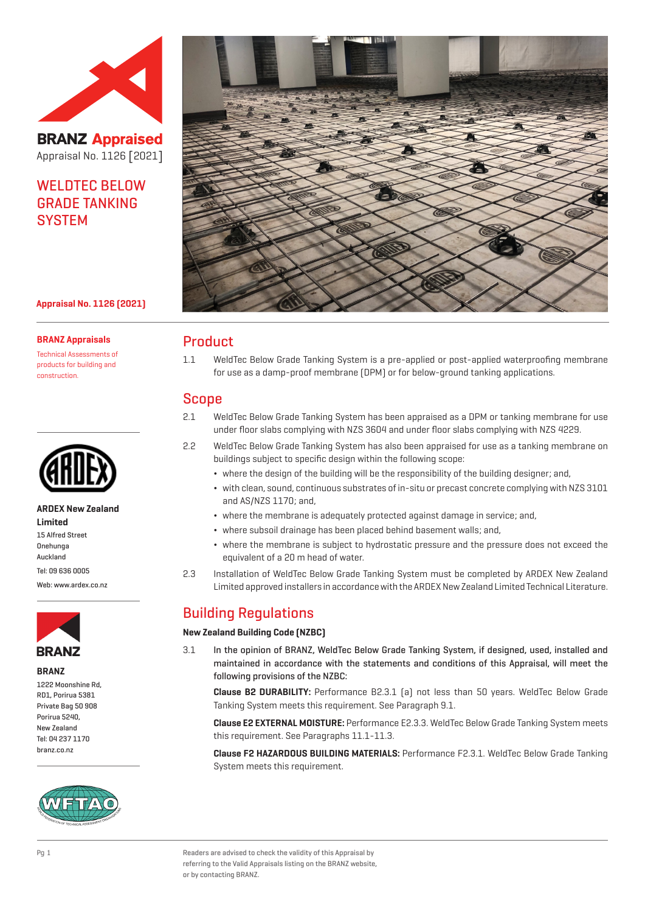

**BRANZ Appraised** Appraisal No. 1126 [2021]

# WELDTEC BELOW GRADE TANKING **SYSTEM**



## **Appraisal No. 1126 (2021)**

#### **BRANZ Appraisals**

Technical Assessments of products for building and construction.



#### **ARDEX New Zealand Limited**

15 Alfred Street Onehunga Auckland Tel: 09 636 0005

Web: www.ardex.co.nz



**BRANZ**

1222 Moonshine Rd, RD1, Porirua 5381 Private Bag 50 908 Porirua 5240, New Zealand Tel: 04 237 1170 branz.co.nz



# Product

1.1 WeldTec Below Grade Tanking System is a pre-applied or post-applied waterproofing membrane for use as a damp-proof membrane (DPM) or for below-ground tanking applications.

# Scope

- 2.1 WeldTec Below Grade Tanking System has been appraised as a DPM or tanking membrane for use under floor slabs complying with NZS 3604 and under floor slabs complying with NZS 4229.
- 2.2 WeldTec Below Grade Tanking System has also been appraised for use as a tanking membrane on buildings subject to specific design within the following scope:
	- ¬ where the design of the building will be the responsibility of the building designer; and,
	- ¬ with clean, sound, continuous substrates of in-situ or precast concrete complying with NZS 3101 and AS/NZS 1170; and,
	- ¬ where the membrane is adequately protected against damage in service; and,
	- ¬ where subsoil drainage has been placed behind basement walls; and,
	- ¬ where the membrane is subject to hydrostatic pressure and the pressure does not exceed the equivalent of a 20 m head of water.
- 2.3 Installation of WeldTec Below Grade Tanking System must be completed by ARDEX New Zealand Limited approved installers in accordance with the ARDEX New Zealand Limited Technical Literature.

# Building Regulations

#### **New Zealand Building Code (NZBC)**

3.1 In the opinion of BRANZ, WeldTec Below Grade Tanking System, if designed, used, installed and maintained in accordance with the statements and conditions of this Appraisal, will meet the following provisions of the NZBC:

**Clause B2 DURABILITY:** Performance B2.3.1 (a) not less than 50 years. WeldTec Below Grade Tanking System meets this requirement. See Paragraph 9.1.

**Clause E2 EXTERNAL MOISTURE:** Performance E2.3.3. WeldTec Below Grade Tanking System meets this requirement. See Paragraphs 11.1-11.3.

**Clause F2 HAZARDOUS BUILDING MATERIALS:** Performance F2.3.1. WeldTec Below Grade Tanking System meets this requirement.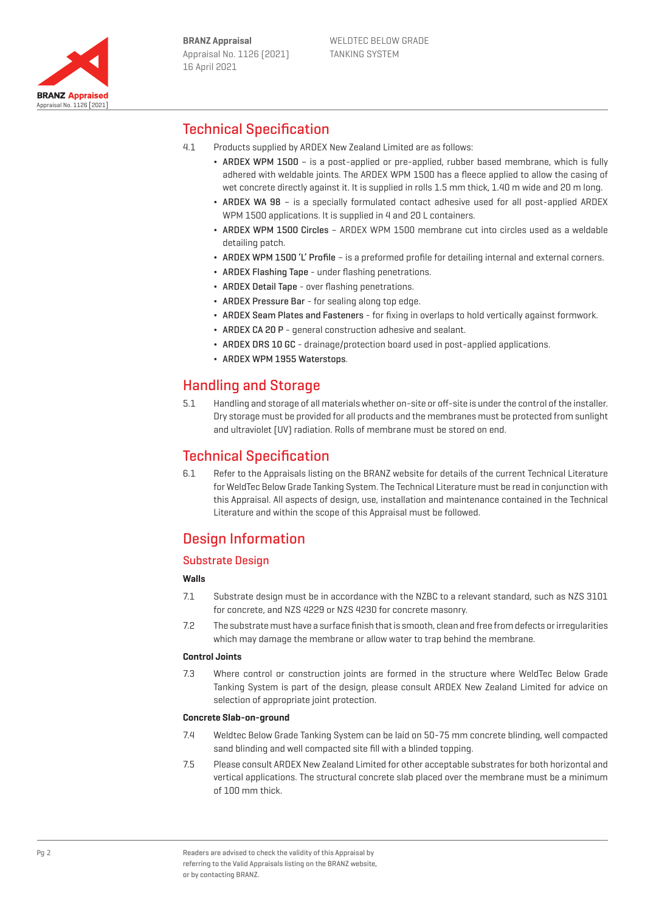

# Technical Specification

- 4.1 Products supplied by ARDEX New Zealand Limited are as follows:
	- ¬ ARDEX WPM 1500 is a post-applied or pre-applied, rubber based membrane, which is fully adhered with weldable joints. The ARDEX WPM 1500 has a fleece applied to allow the casing of wet concrete directly against it. It is supplied in rolls 1.5 mm thick, 1.40 m wide and 20 m long.
	- ¬ ARDEX WA 98 is a specially formulated contact adhesive used for all post-applied ARDEX WPM 1500 applications. It is supplied in 4 and 20 L containers.
	- ¬ ARDEX WPM 1500 Circles ARDEX WPM 1500 membrane cut into circles used as a weldable detailing patch.
	- ARDEX WPM 1500 'L' Profile is a preformed profile for detailing internal and external corners.
	- ARDEX Flashing Tape under flashing penetrations.
	- ARDEX Detail Tape over flashing penetrations.
	- ARDEX Pressure Bar for sealing along top edge.
	- ¬ ARDEX Seam Plates and Fasteners for fixing in overlaps to hold vertically against formwork.
	- ARDEX CA 20 P general construction adhesive and sealant.
	- ARDEX DRS 10 GC drainage/protection board used in post-applied applications.
	- ARDEX WPM 1955 Waterstops.

# Handling and Storage

5.1 Handling and storage of all materials whether on-site or off-site is under the control of the installer. Dry storage must be provided for all products and the membranes must be protected from sunlight and ultraviolet (UV) radiation. Rolls of membrane must be stored on end.

# Technical Specification

6.1 Refer to the Appraisals listing on the BRANZ website for details of the current Technical Literature for WeldTec Below Grade Tanking System. The Technical Literature must be read in conjunction with this Appraisal. All aspects of design, use, installation and maintenance contained in the Technical Literature and within the scope of this Appraisal must be followed.

# Design Information

# Substrate Design

## **Walls**

- 7.1 Substrate design must be in accordance with the NZBC to a relevant standard, such as NZS 3101 for concrete, and NZS 4229 or NZS 4230 for concrete masonry.
- 7.2 The substrate must have a surface finish that is smooth, clean and free from defects or irregularities which may damage the membrane or allow water to trap behind the membrane.

#### **Control Joints**

7.3 Where control or construction joints are formed in the structure where WeldTec Below Grade Tanking System is part of the design, please consult ARDEX New Zealand Limited for advice on selection of appropriate joint protection.

### **Concrete Slab-on-ground**

- 7.4 Weldtec Below Grade Tanking System can be laid on 50-75 mm concrete blinding, well compacted sand blinding and well compacted site fill with a blinded topping.
- 7.5 Please consult ARDEX New Zealand Limited for other acceptable substrates for both horizontal and vertical applications. The structural concrete slab placed over the membrane must be a minimum of 100 mm thick.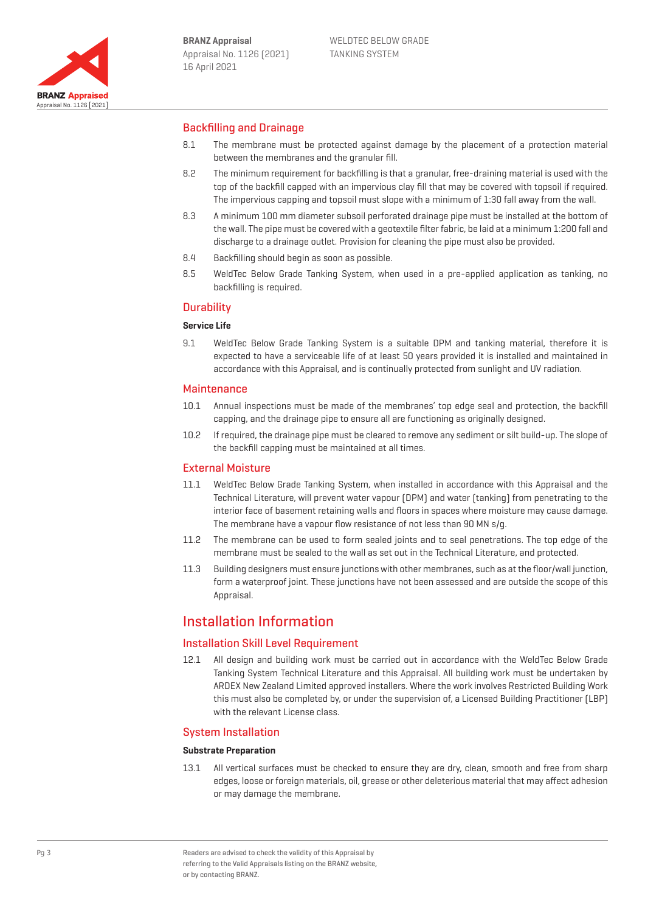

# Backfilling and Drainage

- 8.1 The membrane must be protected against damage by the placement of a protection material between the membranes and the granular fill.
- 8.2 The minimum requirement for backfilling is that a granular, free-draining material is used with the top of the backfill capped with an impervious clay fill that may be covered with topsoil if required. The impervious capping and topsoil must slope with a minimum of 1:30 fall away from the wall.
- 8.3 A minimum 100 mm diameter subsoil perforated drainage pipe must be installed at the bottom of the wall. The pipe must be covered with a geotextile filter fabric, be laid at a minimum 1:200 fall and discharge to a drainage outlet. Provision for cleaning the pipe must also be provided.
- 8.4 Backfilling should begin as soon as possible.
- 8.5 WeldTec Below Grade Tanking System, when used in a pre-applied application as tanking, no backfilling is required.

# **Durability**

# **Service Life**

9.1 WeldTec Below Grade Tanking System is a suitable DPM and tanking material, therefore it is expected to have a serviceable life of at least 50 years provided it is installed and maintained in accordance with this Appraisal, and is continually protected from sunlight and UV radiation.

## **Maintenance**

- 10.1 Annual inspections must be made of the membranes' top edge seal and protection, the backfill capping, and the drainage pipe to ensure all are functioning as originally designed.
- 10.2 If required, the drainage pipe must be cleared to remove any sediment or silt build-up. The slope of the backfill capping must be maintained at all times.

## External Moisture

- 11.1 WeldTec Below Grade Tanking System, when installed in accordance with this Appraisal and the Technical Literature, will prevent water vapour (DPM) and water (tanking) from penetrating to the interior face of basement retaining walls and floors in spaces where moisture may cause damage. The membrane have a vapour flow resistance of not less than 90 MN s/g.
- 11.2 The membrane can be used to form sealed joints and to seal penetrations. The top edge of the membrane must be sealed to the wall as set out in the Technical Literature, and protected.
- 11.3 Building designers must ensure junctions with other membranes, such as at the floor/wall junction, form a waterproof joint. These junctions have not been assessed and are outside the scope of this Appraisal.

# Installation Information

## Installation Skill Level Requirement

12.1 All design and building work must be carried out in accordance with the WeldTec Below Grade Tanking System Technical Literature and this Appraisal. All building work must be undertaken by ARDEX New Zealand Limited approved installers. Where the work involves Restricted Building Work this must also be completed by, or under the supervision of, a Licensed Building Practitioner (LBP) with the relevant License class.

## System Installation

#### **Substrate Preparation**

13.1 All vertical surfaces must be checked to ensure they are dry, clean, smooth and free from sharp edges, loose or foreign materials, oil, grease or other deleterious material that may affect adhesion or may damage the membrane.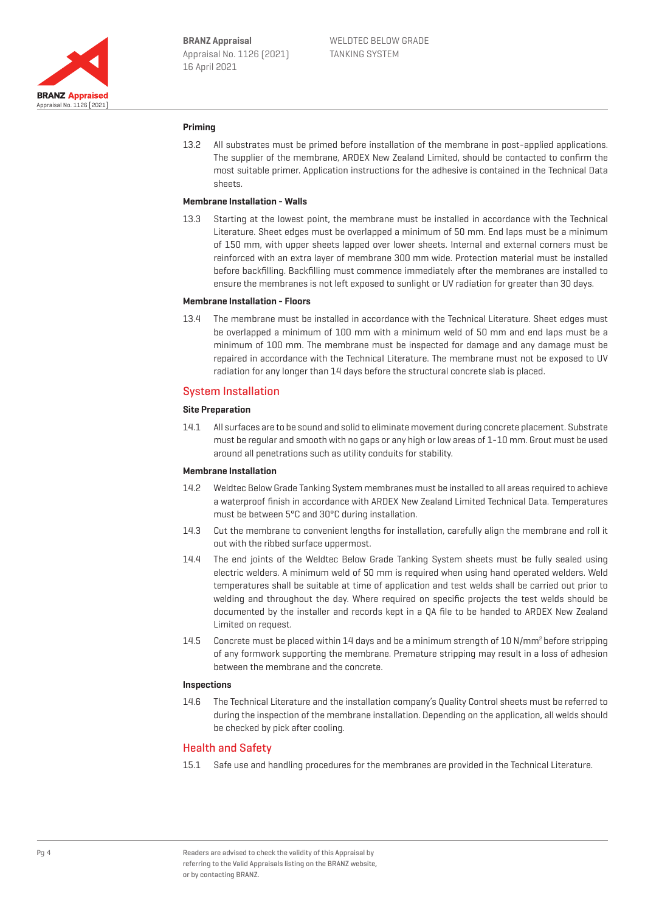

### **Priming**

13.2 All substrates must be primed before installation of the membrane in post-applied applications. The supplier of the membrane, ARDEX New Zealand Limited, should be contacted to confirm the most suitable primer. Application instructions for the adhesive is contained in the Technical Data sheets.

# **Membrane Installation - Walls**

13.3 Starting at the lowest point, the membrane must be installed in accordance with the Technical Literature. Sheet edges must be overlapped a minimum of 50 mm. End laps must be a minimum of 150 mm, with upper sheets lapped over lower sheets. Internal and external corners must be reinforced with an extra layer of membrane 300 mm wide. Protection material must be installed before backfilling. Backfilling must commence immediately after the membranes are installed to ensure the membranes is not left exposed to sunlight or UV radiation for greater than 30 days.

### **Membrane Installation - Floors**

13.4 The membrane must be installed in accordance with the Technical Literature. Sheet edges must be overlapped a minimum of 100 mm with a minimum weld of 50 mm and end laps must be a minimum of 100 mm. The membrane must be inspected for damage and any damage must be repaired in accordance with the Technical Literature. The membrane must not be exposed to UV radiation for any longer than 14 days before the structural concrete slab is placed.

### System Installation

#### **Site Preparation**

14.1 All surfaces are to be sound and solid to eliminate movement during concrete placement. Substrate must be regular and smooth with no gaps or any high or low areas of 1-10 mm. Grout must be used around all penetrations such as utility conduits for stability.

### **Membrane Installation**

- 14.2 Weldtec Below Grade Tanking System membranes must be installed to all areas required to achieve a waterproof finish in accordance with ARDEX New Zealand Limited Technical Data. Temperatures must be between 5°C and 30°C during installation.
- 14.3 Cut the membrane to convenient lengths for installation, carefully align the membrane and roll it out with the ribbed surface uppermost.
- 14.4 The end joints of the Weldtec Below Grade Tanking System sheets must be fully sealed using electric welders. A minimum weld of 50 mm is required when using hand operated welders. Weld temperatures shall be suitable at time of application and test welds shall be carried out prior to welding and throughout the day. Where required on specific projects the test welds should be documented by the installer and records kept in a QA file to be handed to ARDEX New Zealand Limited on request.
- 14.5 Concrete must be placed within 14 days and be a minimum strength of 10 N/mm<sup>2</sup> before stripping of any formwork supporting the membrane. Premature stripping may result in a loss of adhesion between the membrane and the concrete.

### **Inspections**

14.6 The Technical Literature and the installation company's Quality Control sheets must be referred to during the inspection of the membrane installation. Depending on the application, all welds should be checked by pick after cooling.

## Health and Safety

15.1 Safe use and handling procedures for the membranes are provided in the Technical Literature.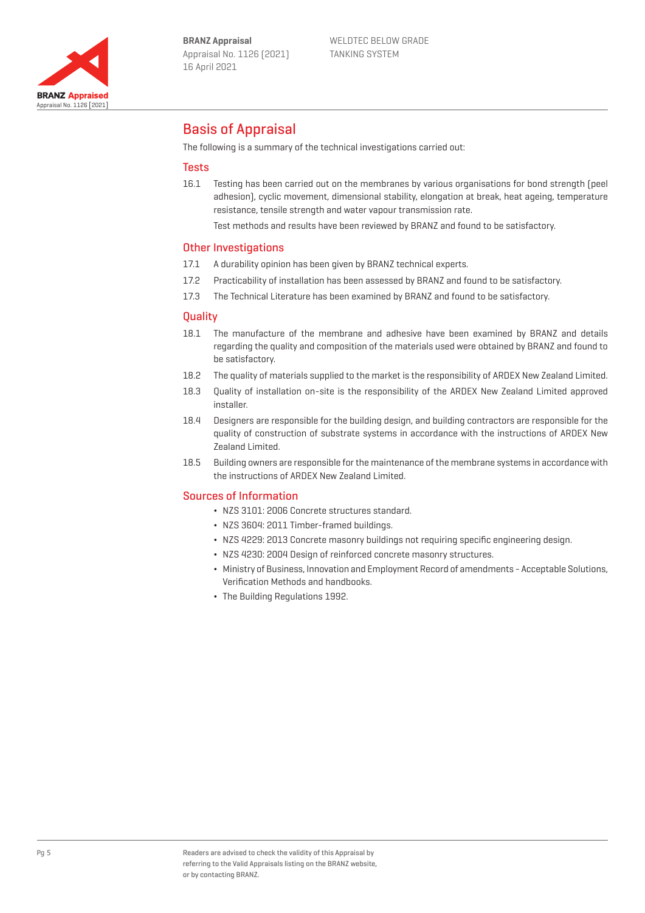

# Basis of Appraisal

The following is a summary of the technical investigations carried out:

## **Tests**

16.1 Testing has been carried out on the membranes by various organisations for bond strength (peel adhesion), cyclic movement, dimensional stability, elongation at break, heat ageing, temperature resistance, tensile strength and water vapour transmission rate.

Test methods and results have been reviewed by BRANZ and found to be satisfactory.

### Other Investigations

- 17.1 A durability opinion has been given by BRANZ technical experts.
- 17.2 Practicability of installation has been assessed by BRANZ and found to be satisfactory.
- 17.3 The Technical Literature has been examined by BRANZ and found to be satisfactory.

### **Quality**

- 18.1 The manufacture of the membrane and adhesive have been examined by BRANZ and details regarding the quality and composition of the materials used were obtained by BRANZ and found to be satisfactory.
- 18.2 The quality of materials supplied to the market is the responsibility of ARDEX New Zealand Limited.
- 18.3 Quality of installation on-site is the responsibility of the ARDEX New Zealand Limited approved installer.
- 18.4 Designers are responsible for the building design, and building contractors are responsible for the quality of construction of substrate systems in accordance with the instructions of ARDEX New Zealand Limited.
- 18.5 Building owners are responsible for the maintenance of the membrane systems in accordance with the instructions of ARDEX New Zealand Limited.

### Sources of Information

- ¬ NZS 3101: 2006 Concrete structures standard.
- ¬ NZS 3604: 2011 Timber-framed buildings.
- ¬ NZS 4229: 2013 Concrete masonry buildings not requiring specific engineering design.
- ¬ NZS 4230: 2004 Design of reinforced concrete masonry structures.
- ¬ Ministry of Business, Innovation and Employment Record of amendments Acceptable Solutions, Verification Methods and handbooks.
- ¬ The Building Regulations 1992.